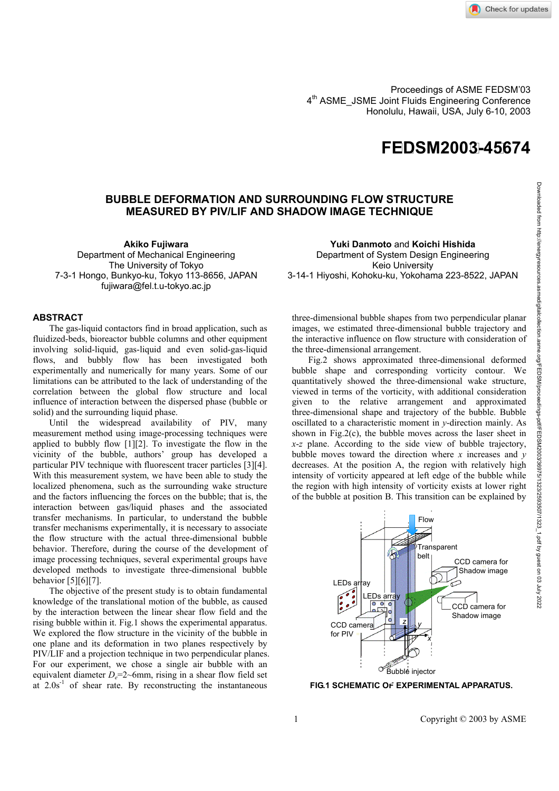

**4TH ASME\_JSME Joint Fluids Engineering Conference Proceedings of ASME FEDSM'03** 4<sup>th</sup> ASME JSME Joint Fluids Engineering Conference Honolulu, Hawaii, USA, July 6-10, 2003

## **F E DSM200 3-4 5674**

## **BUBBLE DEFORMATION AND SURROUNDING FLOW STRUCTURE MEASURED BY PIV/LIF AND SHADOW IMAGE TECHNIQUE**

**Akiko Fujiwara** 

Department of Mechanical Engineering The University of Tokyo 7-3-1 Hongo, Bunkyo-ku, Tokyo 113-8656, JAPAN fujiwara@fel.t.u-tokyo.ac.jp

## **ABSTRACT**

The gas-liquid contactors find in broad application, such as fluidized-beds, bioreactor bubble columns and other equipment involving solid-liquid, gas-liquid and even solid-gas-liquid flows, and bubbly flow has been investigated both experimentally and numerically for many years. Some of our limitations can be attributed to the lack of understanding of the correlation between the global flow structure and local influence of interaction between the dispersed phase (bubble or solid) and the surrounding liquid phase.

Until the widespread availability of PIV, many measurement method using image-processing techniques were applied to bubbly flow [1][2]. To investigate the flow in the vicinity of the bubble, authors' group has developed a particular PIV technique with fluorescent tracer particles [3][4]. With this measurement system, we have been able to study the localized phenomena, such as the surrounding wake structure and the factors influencing the forces on the bubble; that is, the interaction between gas/liquid phases and the associated transfer mechanisms. In particular, to understand the bubble transfer mechanisms experimentally, it is necessary to associate the flow structure with the actual three-dimensional bubble behavior. Therefore, during the course of the development of image processing techniques, several experimental groups have developed methods to investigate three-dimensional bubble behavior [5][6][7].

The objective of the present study is to obtain fundamental knowledge of the translational motion of the bubble, as caused by the interaction between the linear shear flow field and the rising bubble within it. Fig.1 shows the experimental apparatus. We explored the flow structure in the vicinity of the bubble in one plane and its deformation in two planes respectively by PIV/LIF and a projection technique in two perpendicular planes. For our experiment, we chose a single air bubble with an equivalent diameter  $D_e=2$ ~6mm, rising in a shear flow field set at  $2.0s^{-1}$  of shear rate. By reconstructing the instantaneous

**Yuki Danmoto** and **Koichi Hishida**  Department of System Design Engineering Keio University 3-14-1 Hiyoshi, Kohoku-ku, Yokohama 223-8522, JAPAN

three-dimensional bubble shapes from two perpendicular planar images, we estimated three-dimensional bubble trajectory and the interactive influence on flow structure with consideration of the three-dimensional arrangement.

Fig.2 shows approximated three-dimensional deformed bubble shape and corresponding vorticity contour. We quantitatively showed the three-dimensional wake structure, viewed in terms of the vorticity, with additional consideration given to the relative arrangement and approximated three-dimensional shape and trajectory of the bubble. Bubble oscillated to a characteristic moment in *y*-direction mainly. As shown in Fig.2(c), the bubble moves across the laser sheet in *x*-*z* plane. According to the side view of bubble trajectory, bubble moves toward the direction where  $x$  increases and  $y$ decreases. At the position A, the region with relatively high intensity of vorticity appeared at left edge of the bubble while the region with high intensity of vorticity exists at lower right of the bubble at position B. This transition can be explained by



**FIG.1 SCHEMATIC OF EXPERIMENTAL APPARATUS.**